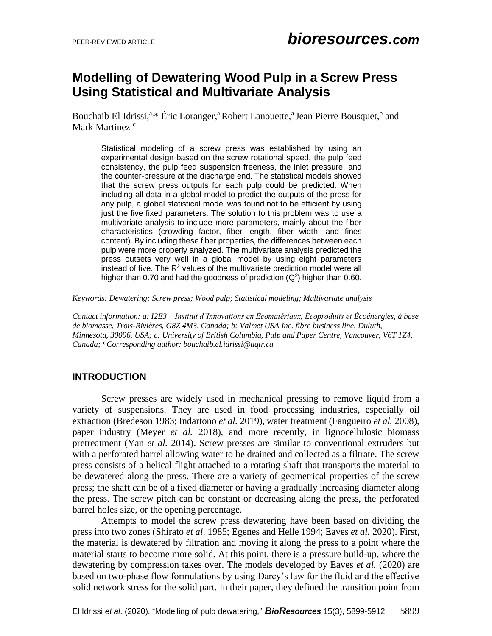# **Modelling of Dewatering Wood Pulp in a Screw Press Using Statistical and Multivariate Analysis**

Bouchaib El Idrissi,<sup>a,\*</sup> Éric Loranger,<sup>a</sup> Robert Lanouette,<sup>a</sup> Jean Pierre Bousquet,<sup>b</sup> and Mark Martinez<sup>c</sup>

Statistical modeling of a screw press was established by using an experimental design based on the screw rotational speed, the pulp feed consistency, the pulp feed suspension freeness, the inlet pressure, and the counter-pressure at the discharge end. The statistical models showed that the screw press outputs for each pulp could be predicted. When including all data in a global model to predict the outputs of the press for any pulp, a global statistical model was found not to be efficient by using just the five fixed parameters. The solution to this problem was to use a multivariate analysis to include more parameters, mainly about the fiber characteristics (crowding factor, fiber length, fiber width, and fines content). By including these fiber properties, the differences between each pulp were more properly analyzed. The multivariate analysis predicted the press outsets very well in a global model by using eight parameters instead of five. The  $R<sup>2</sup>$  values of the multivariate prediction model were all higher than 0.70 and had the goodness of prediction  $(Q^2)$  higher than 0.60.

*Keywords: Dewatering; Screw press; Wood pulp; Statistical modeling; Multivariate analysis*

*Contact information: a: I2E3 – Institut d'Innovations en Écomatériaux, Écoproduits et Écoénergies, à base de biomasse, Trois-Rivières, G8Z 4M3, Canada; b: Valmet USA Inc. fibre business line, Duluth, Minnesota, 30096, USA; c: University of British Columbia, Pulp and Paper Centre, Vancouver, V6T 1Z4, Canada; \*Corresponding author: bouchaib.el.idrissi@uqtr.ca*

## **INTRODUCTION**

Screw presses are widely used in mechanical pressing to remove liquid from a variety of suspensions. They are used in food processing industries, especially oil extraction (Bredeson 1983; Indartono *et al.* 2019), water treatment (Fangueiro *et al.* 2008), paper industry (Meyer *et al.* 2018), and more recently, in lignocellulosic biomass pretreatment (Yan *et al.* 2014). Screw presses are similar to conventional extruders but with a perforated barrel allowing water to be drained and collected as a filtrate. The screw press consists of a helical flight attached to a rotating shaft that transports the material to be dewatered along the press. There are a variety of geometrical properties of the screw press; the shaft can be of a fixed diameter or having a gradually increasing diameter along the press. The screw pitch can be constant or decreasing along the press, the perforated barrel holes size, or the opening percentage.

Attempts to model the screw press dewatering have been based on dividing the press into two zones (Shirato *et al*. 1985; Egenes and Helle 1994; Eaves *et al.* 2020). First, the material is dewatered by filtration and moving it along the press to a point where the material starts to become more solid. At this point, there is a pressure build-up, where the dewatering by compression takes over. The models developed by Eaves *et al.* (2020) are based on two-phase flow formulations by using Darcy's law for the fluid and the effective solid network stress for the solid part. In their paper, they defined the transition point from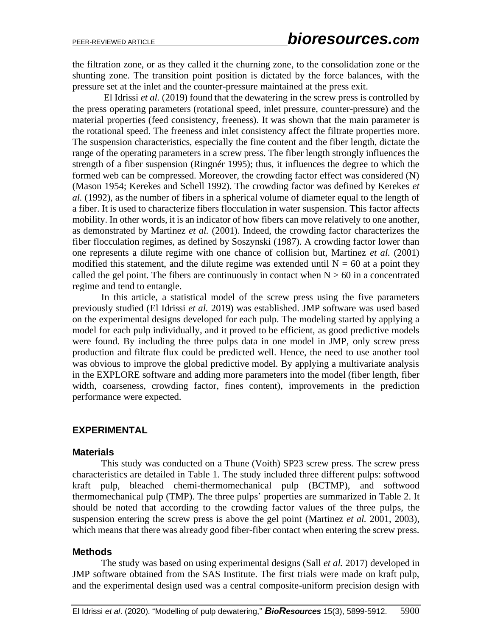the filtration zone, or as they called it the churning zone, to the consolidation zone or the shunting zone. The transition point position is dictated by the force balances, with the pressure set at the inlet and the counter-pressure maintained at the press exit.

El Idrissi *et al.* (2019) found that the dewatering in the screw press is controlled by the press operating parameters (rotational speed, inlet pressure, counter-pressure) and the material properties (feed consistency, freeness). It was shown that the main parameter is the rotational speed. The freeness and inlet consistency affect the filtrate properties more. The suspension characteristics, especially the fine content and the fiber length, dictate the range of the operating parameters in a screw press. The fiber length strongly influences the strength of a fiber suspension (Ringnér 1995); thus, it influences the degree to which the formed web can be compressed. Moreover, the crowding factor effect was considered (N) (Mason 1954; Kerekes and Schell 1992). The crowding factor was defined by Kerekes *et al.* (1992), as the number of fibers in a spherical volume of diameter equal to the length of a fiber. It is used to characterize fibers flocculation in water suspension. This factor affects mobility. In other words, it is an indicator of how fibers can move relatively to one another, as demonstrated by Martinez *et al.* (2001). Indeed, the crowding factor characterizes the fiber flocculation regimes, as defined by Soszynski (1987). A crowding factor lower than one represents a dilute regime with one chance of collision but, Martinez *et al.* (2001) modified this statement, and the dilute regime was extended until  $N = 60$  at a point they called the gel point. The fibers are continuously in contact when  $N > 60$  in a concentrated regime and tend to entangle.

In this article, a statistical model of the screw press using the five parameters previously studied (El Idrissi *et al.* 2019) was established. JMP software was used based on the experimental designs developed for each pulp. The modeling started by applying a model for each pulp individually, and it proved to be efficient, as good predictive models were found. By including the three pulps data in one model in JMP, only screw press production and filtrate flux could be predicted well. Hence, the need to use another tool was obvious to improve the global predictive model. By applying a multivariate analysis in the EXPLORE software and adding more parameters into the model (fiber length, fiber width, coarseness, crowding factor, fines content), improvements in the prediction performance were expected.

## **EXPERIMENTAL**

#### **Materials**

This study was conducted on a Thune (Voith) SP23 screw press. The screw press characteristics are detailed in Table 1. The study included three different pulps: softwood kraft pulp, bleached chemi-thermomechanical pulp (BCTMP), and softwood thermomechanical pulp (TMP). The three pulps' properties are summarized in Table 2. It should be noted that according to the crowding factor values of the three pulps, the suspension entering the screw press is above the gel point (Martinez *et al.* 2001, 2003), which means that there was already good fiber-fiber contact when entering the screw press.

#### **Methods**

The study was based on using experimental designs (Sall *et al.* 2017) developed in JMP software obtained from the SAS Institute. The first trials were made on kraft pulp, and the experimental design used was a central composite-uniform precision design with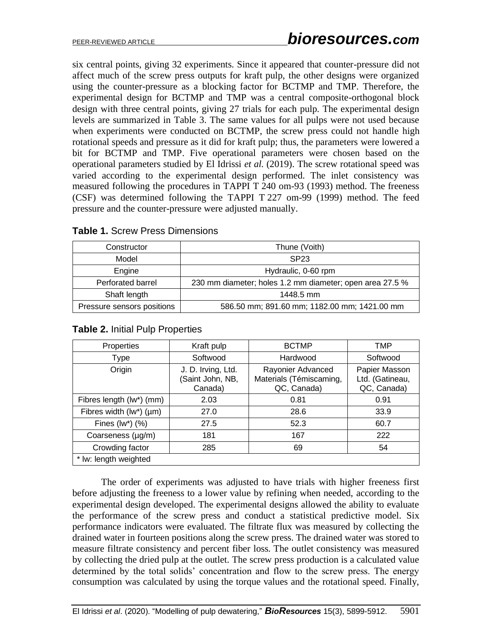six central points, giving 32 experiments. Since it appeared that counter-pressure did not affect much of the screw press outputs for kraft pulp, the other designs were organized using the counter-pressure as a blocking factor for BCTMP and TMP. Therefore, the experimental design for BCTMP and TMP was a central composite-orthogonal block design with three central points, giving 27 trials for each pulp. The experimental design levels are summarized in Table 3. The same values for all pulps were not used because when experiments were conducted on BCTMP, the screw press could not handle high rotational speeds and pressure as it did for kraft pulp; thus, the parameters were lowered a bit for BCTMP and TMP. Five operational parameters were chosen based on the operational parameters studied by El Idrissi *et al.* (2019). The screw rotational speed was varied according to the experimental design performed. The inlet consistency was measured following the procedures in TAPPI T 240 om-93 (1993) method. The freeness (CSF) was determined following the TAPPI T 227 om-99 (1999) method. The feed pressure and the counter-pressure were adjusted manually.

| Constructor                | Thune (Voith)                                            |
|----------------------------|----------------------------------------------------------|
| Model                      | SP <sub>23</sub>                                         |
| Engine                     | Hydraulic, 0-60 rpm                                      |
| Perforated barrel          | 230 mm diameter; holes 1.2 mm diameter; open area 27.5 % |
| Shaft length               | 1448.5 mm                                                |
| Pressure sensors positions | 586.50 mm; 891.60 mm; 1182.00 mm; 1421.00 mm             |

| <b>Table 1. Screw Press Dimensions</b> |  |  |
|----------------------------------------|--|--|
|----------------------------------------|--|--|

| Properties                     | Kraft pulp                                        | <b>BCTMP</b>                                                | TMP                                             |
|--------------------------------|---------------------------------------------------|-------------------------------------------------------------|-------------------------------------------------|
| Type                           | Softwood                                          | Hardwood                                                    | Softwood                                        |
| Origin                         | J. D. Irving, Ltd.<br>(Saint John, NB,<br>Canada) | Rayonier Advanced<br>Materials (Témiscaming,<br>QC, Canada) | Papier Masson<br>Ltd. (Gatineau,<br>QC, Canada) |
| Fibres length (lw*) (mm)       | 2.03                                              | 0.81                                                        | 0.91                                            |
| Fibres width $(lw^*)$ ( $µm$ ) | 27.0                                              | 28.6                                                        | 33.9                                            |
| Fines $(lw^*)$ $(\%)$          | 27.5                                              | 52.3                                                        | 60.7                                            |
| Coarseness (µg/m)              | 181                                               | 167                                                         | 222                                             |
| Crowding factor                | 285                                               | 69                                                          | 54                                              |
| * lw: length weighted          |                                                   |                                                             |                                                 |

#### **Table 2.** Initial Pulp Properties

The order of experiments was adjusted to have trials with higher freeness first before adjusting the freeness to a lower value by refining when needed, according to the experimental design developed. The experimental designs allowed the ability to evaluate the performance of the screw press and conduct a statistical predictive model. Six performance indicators were evaluated. The filtrate flux was measured by collecting the drained water in fourteen positions along the screw press. The drained water was stored to measure filtrate consistency and percent fiber loss. The outlet consistency was measured by collecting the dried pulp at the outlet. The screw press production is a calculated value determined by the total solids' concentration and flow to the screw press. The energy consumption was calculated by using the torque values and the rotational speed. Finally,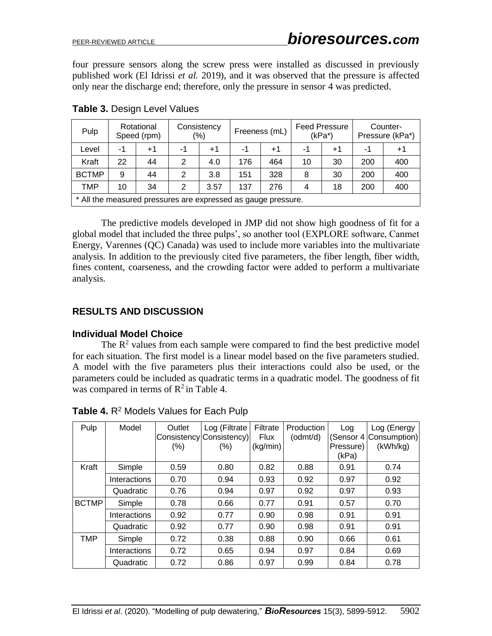four pressure sensors along the screw press were installed as discussed in previously published work (El Idrissi *et al.* 2019), and it was observed that the pressure is affected only near the discharge end; therefore, only the pressure in sensor 4 was predicted.

| Pulp                                                          |    | Rotational<br>Speed (rpm) |                | Consistency<br>(%) |     | Freeness (mL) |    | <b>Feed Pressure</b><br>(kPa*) |     | Counter-<br>Pressure (kPa*) |
|---------------------------------------------------------------|----|---------------------------|----------------|--------------------|-----|---------------|----|--------------------------------|-----|-----------------------------|
| Level                                                         | -1 | $+1$                      | -1             | $+1$               | -1  | $+1$          | -1 | +1                             | -1  | $+1$                        |
| Kraft                                                         | 22 | 44                        | $\overline{2}$ | 4.0                | 176 | 464           | 10 | 30                             | 200 | 400                         |
| <b>BCTMP</b>                                                  | 9  | 44                        | 2              | 3.8                | 151 | 328           | 8  | 30                             | 200 | 400                         |
| <b>TMP</b>                                                    | 10 | 34                        | 2              | 3.57               | 137 | 276           | 4  | 18                             | 200 | 400                         |
| * All the measured pressures are expressed as gauge pressure. |    |                           |                |                    |     |               |    |                                |     |                             |

**Table 3.** Design Level Values

\* All the measured pressures are expressed as gauge pressure.

The predictive models developed in JMP did not show high goodness of fit for a global model that included the three pulps', so another tool (EXPLORE software, Canmet Energy, Varennes (QC) Canada) was used to include more variables into the multivariate analysis. In addition to the previously cited five parameters, the fiber length, fiber width, fines content, coarseness, and the crowding factor were added to perform a multivariate analysis.

# **RESULTS AND DISCUSSION**

## **Individual Model Choice**

The  $\mathbb{R}^2$  values from each sample were compared to find the best predictive model for each situation. The first model is a linear model based on the five parameters studied. A model with the five parameters plus their interactions could also be used, or the parameters could be included as quadratic terms in a quadratic model. The goodness of fit was compared in terms of  $R^2$  in Table 4.

| Pulp         | Model        | Outlet<br>$(\% )$ | Log (Filtrate<br>Consistency Consistency)<br>$(\% )$ | Filtrate<br><b>Flux</b><br>(kg/min) | Production<br>(odmt/d) | Log<br>Pressure)<br>(kPa) | Log (Energy<br>(Sensor 4 Consumption)<br>(kWh/kg) |
|--------------|--------------|-------------------|------------------------------------------------------|-------------------------------------|------------------------|---------------------------|---------------------------------------------------|
| Kraft        | Simple       | 0.59              | 0.80                                                 | 0.82                                | 0.88                   | 0.91                      | 0.74                                              |
|              | Interactions | 0.70              | 0.94                                                 | 0.93                                | 0.92                   | 0.97                      | 0.92                                              |
|              | Quadratic    | 0.76              | 0.94                                                 | 0.97                                | 0.92                   | 0.97                      | 0.93                                              |
| <b>BCTMP</b> | Simple       | 0.78              | 0.66                                                 | 0.77                                | 0.91                   | 0.57                      | 0.70                                              |
|              | Interactions | 0.92              | 0.77                                                 | 0.90                                | 0.98                   | 0.91                      | 0.91                                              |
|              | Quadratic    | 0.92              | 0.77                                                 | 0.90                                | 0.98                   | 0.91                      | 0.91                                              |
| <b>TMP</b>   | Simple       | 0.72              | 0.38                                                 | 0.88                                | 0.90                   | 0.66                      | 0.61                                              |
|              | Interactions | 0.72              | 0.65                                                 | 0.94                                | 0.97                   | 0.84                      | 0.69                                              |
|              | Quadratic    | 0.72              | 0.86                                                 | 0.97                                | 0.99                   | 0.84                      | 0.78                                              |

**Table 4.** R<sup>2</sup> Models Values for Each Pulp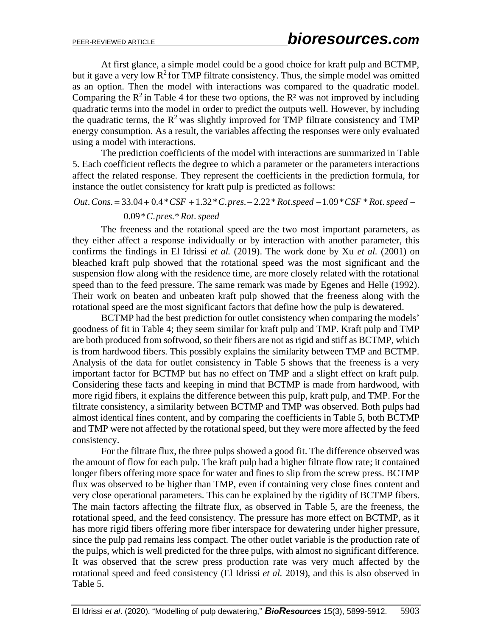At first glance, a simple model could be a good choice for kraft pulp and BCTMP, but it gave a very low  $R^2$  for TMP filtrate consistency. Thus, the simple model was omitted as an option. Then the model with interactions was compared to the quadratic model. Comparing the  $R^2$  in Table 4 for these two options, the  $R^2$  was not improved by including quadratic terms into the model in order to predict the outputs well. However, by including the quadratic terms, the  $R^2$  was slightly improved for TMP filtrate consistency and TMP energy consumption. As a result, the variables affecting the responses were only evaluated using a model with interactions.

The prediction coefficients of the model with interactions are summarized in Table 5. Each coefficient reflects the degree to which a parameter or the parameters interactions affect the related response. They represent the coefficients in the prediction formula, for instance the outlet consistency for kraft pulp is predicted as follows:

Out. Cons. = 
$$
33.04 + 0.4 \times \text{CSF} + 1.32 \times \text{C}
$$
. pres. -  $2.22 \times \text{Rot}$ . speed –  $1.09 \times \text{CSF} \times \text{Rot}$ . speed –

#### 0.09\* . .\* . *C pres Rot speed*

The freeness and the rotational speed are the two most important parameters, as they either affect a response individually or by interaction with another parameter, this confirms the findings in El Idrissi *et al.* (2019). The work done by Xu *et al.* (2001) on bleached kraft pulp showed that the rotational speed was the most significant and the suspension flow along with the residence time, are more closely related with the rotational speed than to the feed pressure. The same remark was made by Egenes and Helle (1992). Their work on beaten and unbeaten kraft pulp showed that the freeness along with the rotational speed are the most significant factors that define how the pulp is dewatered.

BCTMP had the best prediction for outlet consistency when comparing the models' goodness of fit in Table 4; they seem similar for kraft pulp and TMP. Kraft pulp and TMP are both produced from softwood, so their fibers are not as rigid and stiff as BCTMP, which is from hardwood fibers. This possibly explains the similarity between TMP and BCTMP. Analysis of the data for outlet consistency in Table 5 shows that the freeness is a very important factor for BCTMP but has no effect on TMP and a slight effect on kraft pulp. Considering these facts and keeping in mind that BCTMP is made from hardwood, with more rigid fibers, it explains the difference between this pulp, kraft pulp, and TMP. For the filtrate consistency, a similarity between BCTMP and TMP was observed. Both pulps had almost identical fines content, and by comparing the coefficients in Table 5, both BCTMP and TMP were not affected by the rotational speed, but they were more affected by the feed consistency.

For the filtrate flux, the three pulps showed a good fit. The difference observed was the amount of flow for each pulp. The kraft pulp had a higher filtrate flow rate; it contained longer fibers offering more space for water and fines to slip from the screw press. BCTMP flux was observed to be higher than TMP, even if containing very close fines content and very close operational parameters. This can be explained by the rigidity of BCTMP fibers. The main factors affecting the filtrate flux, as observed in Table 5, are the freeness, the rotational speed, and the feed consistency. The pressure has more effect on BCTMP, as it has more rigid fibers offering more fiber interspace for dewatering under higher pressure, since the pulp pad remains less compact. The other outlet variable is the production rate of the pulps, which is well predicted for the three pulps, with almost no significant difference. It was observed that the screw press production rate was very much affected by the rotational speed and feed consistency (El Idrissi *et al.* 2019), and this is also observed in Table 5.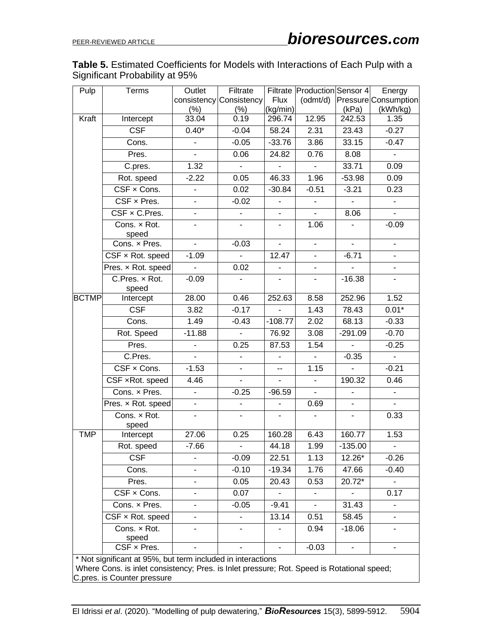# **Table 5.** Estimated Coefficients for Models with Interactions of Each Pulp with a Significant Probability at 95%

| Pulp                                                                                                                      | Terms                                                       | Outlet                   | Filtrate                 |                          | Filtrate Production Sensor 4 |                          | Energy               |  |
|---------------------------------------------------------------------------------------------------------------------------|-------------------------------------------------------------|--------------------------|--------------------------|--------------------------|------------------------------|--------------------------|----------------------|--|
|                                                                                                                           |                                                             |                          | consistency Consistency  | <b>Flux</b>              | (odmt/d)                     |                          | Pressure Consumption |  |
|                                                                                                                           |                                                             | $(\% )$                  | $(\% )$                  | (kg/min)                 |                              | (kPa)                    | (kWh/kg)             |  |
| Kraft                                                                                                                     | Intercept                                                   | 33.04                    | 0.19                     | 296.74                   | 12.95                        | 242.53                   | 1.35                 |  |
|                                                                                                                           | <b>CSF</b>                                                  | $0.40*$                  | $-0.04$                  | 58.24                    | 2.31                         | 23.43                    | $-0.27$              |  |
|                                                                                                                           | Cons.                                                       | $\blacksquare$           | $-0.05$                  | $-33.76$                 | 3.86                         | 33.15                    | $-0.47$              |  |
|                                                                                                                           | Pres.                                                       | $\mathbf{r}$             | 0.06                     | 24.82                    | 0.76                         | 8.08                     | $\blacksquare$       |  |
|                                                                                                                           | C.pres.                                                     | 1.32                     | $\blacksquare$           | $\blacksquare$           | $\blacksquare$               | 33.71                    | 0.09                 |  |
|                                                                                                                           | Rot. speed                                                  | $-2.22$                  | 0.05                     | 46.33                    | 1.96                         | $-53.98$                 | 0.09                 |  |
|                                                                                                                           | CSF x Cons.                                                 | $\overline{\phantom{a}}$ | 0.02                     | $-30.84$                 | $-0.51$                      | $-3.21$                  | 0.23                 |  |
|                                                                                                                           | CSF x Pres.                                                 | $\blacksquare$           | $-0.02$                  | $\blacksquare$           | $\blacksquare$               | $\blacksquare$           | $\blacksquare$       |  |
|                                                                                                                           | CSF x C.Pres.                                               |                          | $\mathbf{r}$             |                          | L.                           | 8.06                     | $\mathbf{r}$         |  |
|                                                                                                                           | Cons. x Rot.<br>speed                                       | $\blacksquare$           | $\blacksquare$           | $\blacksquare$           | 1.06                         | $\blacksquare$           | $-0.09$              |  |
|                                                                                                                           | Cons. x Pres.                                               | ä,                       | $-0.03$                  | $\blacksquare$           | $\blacksquare$               | $\blacksquare$           | $\blacksquare$       |  |
|                                                                                                                           | CSF x Rot. speed                                            | $-1.09$                  | $\mathbf{r}$             | 12.47                    | $\blacksquare$               | $-6.71$                  | $\blacksquare$       |  |
|                                                                                                                           | Pres. x Rot. speed                                          | $\blacksquare$           | 0.02                     | $\blacksquare$           | $\overline{\phantom{a}}$     |                          | $\blacksquare$       |  |
|                                                                                                                           | C.Pres. x Rot.<br>speed                                     | $-0.09$                  | $\blacksquare$           | $\blacksquare$           | $\overline{\phantom{a}}$     | $-16.38$                 | $\blacksquare$       |  |
| <b>BCTMP</b>                                                                                                              | Intercept                                                   | 28.00                    | 0.46                     | 252.63                   | 8.58                         | 252.96                   | 1.52                 |  |
|                                                                                                                           | <b>CSF</b>                                                  | 3.82                     | $-0.17$                  |                          | 1.43                         | 78.43                    | $0.01*$              |  |
|                                                                                                                           | Cons.                                                       | 1.49                     | $-0.43$                  | $-108.77$                | 2.02                         | 68.13                    | $-0.33$              |  |
|                                                                                                                           | Rot. Speed                                                  | $-11.88$                 | $\omega$                 | 76.92                    | 3.08                         | $-291.09$                | $-0.70$              |  |
|                                                                                                                           | Pres.                                                       | $\overline{\phantom{a}}$ | 0.25                     | 87.53                    | 1.54                         | $\overline{\phantom{a}}$ | $-0.25$              |  |
|                                                                                                                           | C.Pres.                                                     | $\blacksquare$           | $\mathbf{r}$             | $\blacksquare$           | ä,                           | $-0.35$                  | $\mathbf{r}$         |  |
|                                                                                                                           | CSF x Cons.                                                 | $-1.53$                  | $\blacksquare$           | н.                       | 1.15                         | $\blacksquare$           | $-0.21$              |  |
|                                                                                                                           | CSF xRot. speed                                             | 4.46                     | $\sim$                   | $\sim$                   | $\blacksquare$               | 190.32                   | 0.46                 |  |
|                                                                                                                           | $\overline{\text{Cons.}}$ x Pres.                           | $\blacksquare$           | $-0.25$                  | $-96.59$                 |                              |                          | $\blacksquare$       |  |
|                                                                                                                           | Pres. x Rot. speed                                          | $\overline{\phantom{a}}$ | $\overline{\phantom{0}}$ | $\overline{\phantom{a}}$ | 0.69                         |                          | $\blacksquare$       |  |
|                                                                                                                           | Cons. x Rot.<br>speed                                       |                          |                          |                          |                              |                          | 0.33                 |  |
| <b>TMP</b>                                                                                                                | Intercept                                                   | 27.06                    | 0.25                     | 160.28                   | 6.43                         | 160.77                   | 1.53                 |  |
|                                                                                                                           | Rot. speed                                                  | -7.66                    | ÷                        | 44.18                    | 1.99                         | -135.00                  | $\blacksquare$       |  |
|                                                                                                                           | <b>CSF</b>                                                  | -                        | $-0.09$                  | 22.51                    | 1.13                         | 12.26*                   | $-0.26$              |  |
|                                                                                                                           | Cons.                                                       | ٠                        | $-0.10$                  | $-19.34$                 | 1.76                         | 47.66                    | $-0.40$              |  |
|                                                                                                                           | Pres.                                                       | ۰                        | 0.05                     | 20.43                    | 0.53                         | 20.72*                   | $\blacksquare$       |  |
|                                                                                                                           | $CSF \times Cons.$                                          |                          | 0.07                     |                          |                              |                          | 0.17                 |  |
|                                                                                                                           | Cons. x Pres.                                               |                          | $-0.05$                  | $-9.41$                  | ۰                            | 31.43                    |                      |  |
|                                                                                                                           | CSF x Rot. speed                                            |                          |                          | 13.14                    | 0.51                         | 58.45                    |                      |  |
|                                                                                                                           | Cons. x Rot.                                                |                          |                          |                          | 0.94                         | $-18.06$                 |                      |  |
|                                                                                                                           | speed<br>CSF x Pres.                                        |                          |                          |                          | $-0.03$                      |                          |                      |  |
|                                                                                                                           | * Not significant at 95%, but term included in interactions |                          |                          |                          |                              |                          |                      |  |
|                                                                                                                           |                                                             |                          |                          |                          |                              |                          |                      |  |
| Where Cons. is inlet consistency; Pres. is Inlet pressure; Rot. Speed is Rotational speed;<br>C.pres. is Counter pressure |                                                             |                          |                          |                          |                              |                          |                      |  |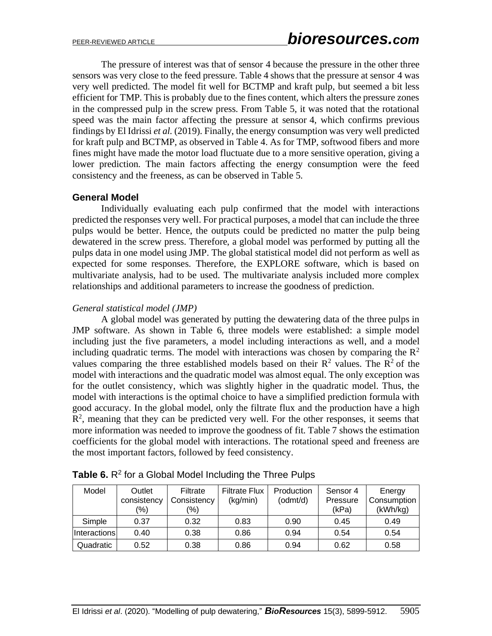The pressure of interest was that of sensor 4 because the pressure in the other three sensors was very close to the feed pressure. Table 4 shows that the pressure at sensor 4 was very well predicted. The model fit well for BCTMP and kraft pulp, but seemed a bit less efficient for TMP. This is probably due to the fines content, which alters the pressure zones in the compressed pulp in the screw press. From Table 5, it was noted that the rotational speed was the main factor affecting the pressure at sensor 4, which confirms previous findings by El Idrissi *et al.* (2019). Finally, the energy consumption was very well predicted for kraft pulp and BCTMP, as observed in Table 4. As for TMP, softwood fibers and more fines might have made the motor load fluctuate due to a more sensitive operation, giving a lower prediction. The main factors affecting the energy consumption were the feed consistency and the freeness, as can be observed in Table 5.

## **General Model**

Individually evaluating each pulp confirmed that the model with interactions predicted the responses very well. For practical purposes, a model that can include the three pulps would be better. Hence, the outputs could be predicted no matter the pulp being dewatered in the screw press. Therefore, a global model was performed by putting all the pulps data in one model using JMP. The global statistical model did not perform as well as expected for some responses. Therefore, the EXPLORE software, which is based on multivariate analysis, had to be used. The multivariate analysis included more complex relationships and additional parameters to increase the goodness of prediction.

## *General statistical model (JMP)*

A global model was generated by putting the dewatering data of the three pulps in JMP software. As shown in Table 6, three models were established: a simple model including just the five parameters, a model including interactions as well, and a model including quadratic terms. The model with interactions was chosen by comparing the  $\mathbb{R}^2$ values comparing the three established models based on their  $R^2$  values. The  $R^2$  of the model with interactions and the quadratic model was almost equal. The only exception was for the outlet consistency, which was slightly higher in the quadratic model. Thus, the model with interactions is the optimal choice to have a simplified prediction formula with good accuracy. In the global model, only the filtrate flux and the production have a high  $R<sup>2</sup>$ , meaning that they can be predicted very well. For the other responses, it seems that more information was needed to improve the goodness of fit. Table 7 shows the estimation coefficients for the global model with interactions. The rotational speed and freeness are the most important factors, followed by feed consistency.

| Model               | Outlet<br>consistency<br>$\frac{(0)}{0}$ | Filtrate<br>Consistency<br>$\frac{1}{2}$ | <b>Filtrate Flux</b><br>(kq/min) | Production<br>(odmt/d) | Sensor 4<br>Pressure<br>(kPa) | Energy<br>Consumption<br>(kWh/kg) |
|---------------------|------------------------------------------|------------------------------------------|----------------------------------|------------------------|-------------------------------|-----------------------------------|
| Simple              | 0.37                                     | 0.32                                     | 0.83                             | 0.90                   | 0.45                          | 0.49                              |
| <b>Interactions</b> | 0.40                                     | 0.38                                     | 0.86                             | 0.94                   | 0.54                          | 0.54                              |
| Quadratic           | 0.52                                     | 0.38                                     | 0.86                             | 0.94                   | 0.62                          | 0.58                              |

Table 6. R<sup>2</sup> for a Global Model Including the Three Pulps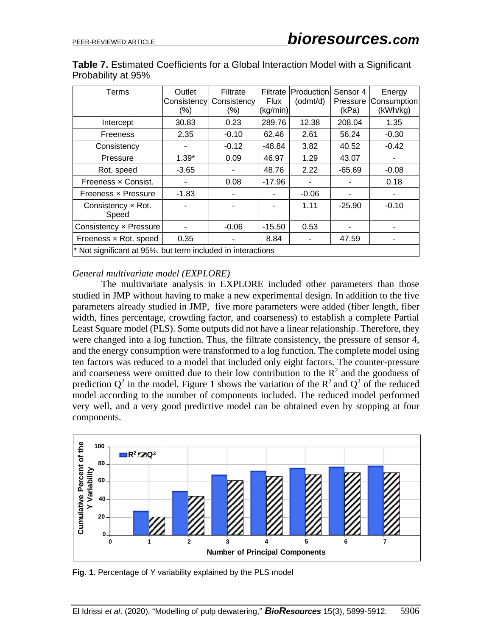| Terms                                                         | Outlet<br>Consistency<br>(%) | Filtrate<br>Consistency<br>$(\% )$ | Filtrate<br><b>Flux</b><br>(kq/min) | <b>Production</b><br>(odmt/d) | Sensor 4<br>Pressure<br>(kPa) | Energy<br>Consumption<br>(kWh/kg) |
|---------------------------------------------------------------|------------------------------|------------------------------------|-------------------------------------|-------------------------------|-------------------------------|-----------------------------------|
| Intercept                                                     | 30.83                        | 0.23                               | 289.76                              | 12.38                         | 208.04                        | 1.35                              |
| Freeness                                                      | 2.35                         | $-0.10$                            | 62.46                               | 2.61                          | 56.24                         | $-0.30$                           |
| Consistency                                                   |                              | $-0.12$                            | -48.84                              | 3.82                          | 40.52                         | $-0.42$                           |
| Pressure                                                      | $1.39*$                      | 0.09                               | 46.97                               | 1.29                          | 43.07                         |                                   |
| Rot. speed                                                    | $-3.65$                      |                                    | 48.76                               | 2.22                          | $-65.69$                      | $-0.08$                           |
| Freeness x Consist.                                           | ٠                            | 0.08                               | $-17.96$                            |                               |                               | 0.18                              |
| Freeness x Pressure                                           | $-1.83$                      |                                    |                                     | $-0.06$                       |                               |                                   |
| Consistency $\times$ Rot.<br>Speed                            |                              |                                    |                                     | 1.11                          | $-25.90$                      | $-0.10$                           |
| Consistency x Pressure                                        |                              | $-0.06$                            | $-15.50$                            | 0.53                          |                               |                                   |
| Freeness x Rot. speed                                         | 0.35                         |                                    | 8.84                                |                               | 47.59                         |                                   |
| $*$ Not significant at 95%, but term included in interactions |                              |                                    |                                     |                               |                               |                                   |

**Table 7.** Estimated Coefficients for a Global Interaction Model with a Significant Probability at 95%

#### *General multivariate model (EXPLORE)*

The multivariate analysis in EXPLORE included other parameters than those studied in JMP without having to make a new experimental design. In addition to the five parameters already studied in JMP, five more parameters were added (fiber length, fiber width, fines percentage, crowding factor, and coarseness) to establish a complete Partial Least Square model (PLS). Some outputs did not have a linear relationship. Therefore, they were changed into a log function. Thus, the filtrate consistency, the pressure of sensor 4, and the energy consumption were transformed to a log function. The complete model using ten factors was reduced to a model that included only eight factors. The counter-pressure and coarseness were omitted due to their low contribution to the  $\mathbb{R}^2$  and the goodness of prediction  $Q^2$  in the model. Figure 1 shows the variation of the  $R^2$  and  $Q^2$  of the reduced model according to the number of components included. The reduced model performed very well, and a very good predictive model can be obtained even by stopping at four components.



**Fig. 1.** Percentage of Y variability explained by the PLS model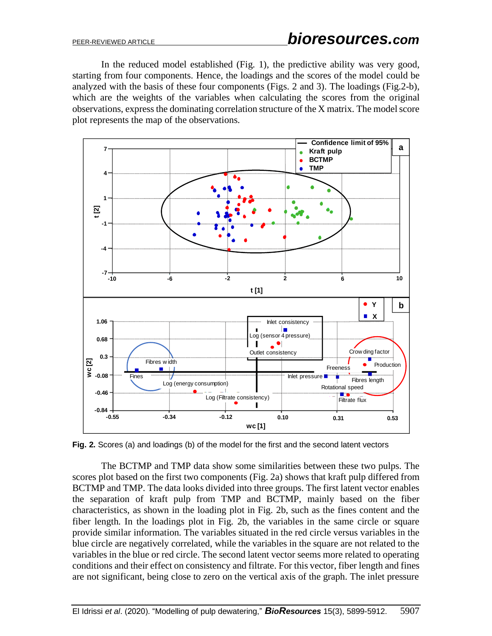In the reduced model established (Fig. 1), the predictive ability was very good, starting from four components. Hence, the loadings and the scores of the model could be analyzed with the basis of these four components (Figs. 2 and 3). The loadings (Fig.2-b), which are the weights of the variables when calculating the scores from the original observations, express the dominating correlation structure of the X matrix. The model score plot represents the map of the observations.



**Fig. 2.** Scores (a) and loadings (b) of the model for the first and the second latent vectors

The BCTMP and TMP data show some similarities between these two pulps. The scores plot based on the first two components (Fig. 2a) shows that kraft pulp differed from BCTMP and TMP. The data looks divided into three groups. The first latent vector enables the separation of kraft pulp from TMP and BCTMP, mainly based on the fiber characteristics, as shown in the loading plot in Fig. 2b, such as the fines content and the fiber length. In the loadings plot in Fig. 2b, the variables in the same circle or square provide similar information. The variables situated in the red circle versus variables in the blue circle are negatively correlated, while the variables in the square are not related to the variables in the blue or red circle. The second latent vector seems more related to operating conditions and their effect on consistency and filtrate. For this vector, fiber length and fines are not significant, being close to zero on the vertical axis of the graph. The inlet pressure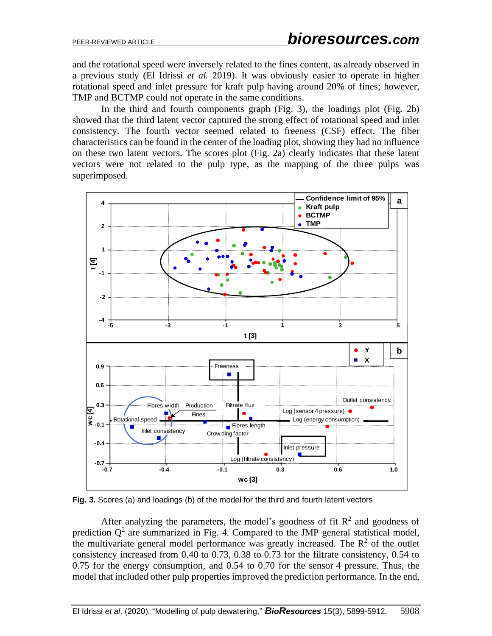and the rotational speed were inversely related to the fines content, as already observed in a previous study (El Idrissi *et al.* 2019). It was obviously easier to operate in higher rotational speed and inlet pressure for kraft pulp having around 20% of fines; however, TMP and BCTMP could not operate in the same conditions.

In the third and fourth components graph (Fig. 3), the loadings plot (Fig. 2b) showed that the third latent vector captured the strong effect of rotational speed and inlet consistency. The fourth vector seemed related to freeness (CSF) effect. The fiber characteristics can be found in the center of the loading plot, showing they had no influence on these two latent vectors. The scores plot (Fig. 2a) clearly indicates that these latent vectors were not related to the pulp type, as the mapping of the three pulps was superimposed.



**Fig. 3.** Scores (a) and loadings (b) of the model for the third and fourth latent vectors

After analyzing the parameters, the model's goodness of fit  $\mathbb{R}^2$  and goodness of prediction  $Q^2$  are summarized in Fig. 4. Compared to the JMP general statistical model, the multivariate general model performance was greatly increased. The  $\mathbb{R}^2$  of the outlet consistency increased from 0.40 to 0.73, 0.38 to 0.73 for the filtrate consistency, 0.54 to 0.75 for the energy consumption, and 0.54 to 0.70 for the sensor 4 pressure. Thus, the model that included other pulp properties improved the prediction performance. In the end,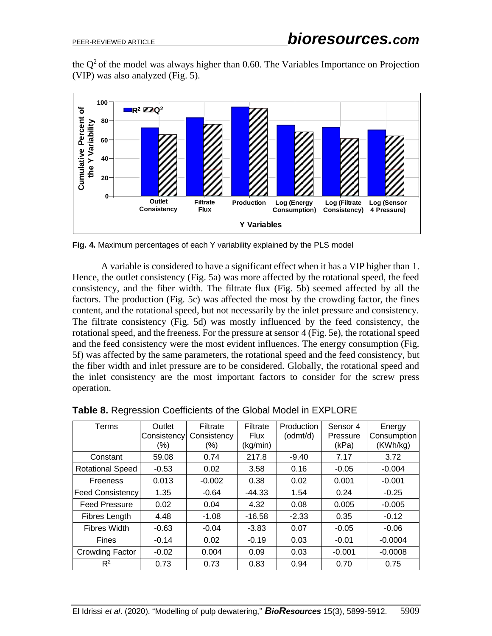the  $Q<sup>2</sup>$  of the model was always higher than 0.60. The Variables Importance on Projection (VIP) was also analyzed (Fig. 5).



**Fig. 4.** Maximum percentages of each Y variability explained by the PLS model

A variable is considered to have a significant effect when it has a VIP higher than 1. Hence, the outlet consistency (Fig. 5a) was more affected by the rotational speed, the feed consistency, and the fiber width. The filtrate flux (Fig. 5b) seemed affected by all the factors. The production (Fig. 5c) was affected the most by the crowding factor, the fines content, and the rotational speed, but not necessarily by the inlet pressure and consistency. The filtrate consistency (Fig. 5d) was mostly influenced by the feed consistency, the rotational speed, and the freeness. For the pressure at sensor 4 (Fig. 5e), the rotational speed and the feed consistency were the most evident influences. The energy consumption (Fig. 5f) was affected by the same parameters, the rotational speed and the feed consistency, but the fiber width and inlet pressure are to be considered. Globally, the rotational speed and the inlet consistency are the most important factors to consider for the screw press operation.

| Terms                   | Outlet<br>Consistency<br>(%) | Filtrate<br>Consistency<br>(%) | Filtrate<br><b>Flux</b><br>(kg/min) | <b>Production</b><br>(odmt/d) | Sensor 4<br>Pressure<br>(kPa) | Energy<br>Consumption<br>(KWh/kg) |
|-------------------------|------------------------------|--------------------------------|-------------------------------------|-------------------------------|-------------------------------|-----------------------------------|
| Constant                | 59.08                        | 0.74                           | 217.8                               | $-9.40$                       | 7.17                          | 3.72                              |
| <b>Rotational Speed</b> | $-0.53$                      | 0.02                           | 3.58                                | 0.16                          | $-0.05$                       | $-0.004$                          |
| <b>Freeness</b>         | 0.013                        | $-0.002$                       | 0.38                                | 0.02                          | 0.001                         | $-0.001$                          |
| <b>Feed Consistency</b> | 1.35                         | $-0.64$                        | $-44.33$                            | 1.54                          | 0.24                          | $-0.25$                           |
| <b>Feed Pressure</b>    | 0.02                         | 0.04                           | 4.32                                | 0.08                          | 0.005                         | $-0.005$                          |
| Fibres Length           | 4.48                         | $-1.08$                        | $-16.58$                            | $-2.33$                       | 0.35                          | $-0.12$                           |
| <b>Fibres Width</b>     | $-0.63$                      | $-0.04$                        | $-3.83$                             | 0.07                          | $-0.05$                       | $-0.06$                           |
| <b>Fines</b>            | $-0.14$                      | 0.02                           | $-0.19$                             | 0.03                          | $-0.01$                       | $-0.0004$                         |
| Crowding Factor         | $-0.02$                      | 0.004                          | 0.09                                | 0.03                          | $-0.001$                      | $-0.0008$                         |
| $R^2$                   | 0.73                         | 0.73                           | 0.83                                | 0.94                          | 0.70                          | 0.75                              |

**Table 8.** Regression Coefficients of the Global Model in EXPLORE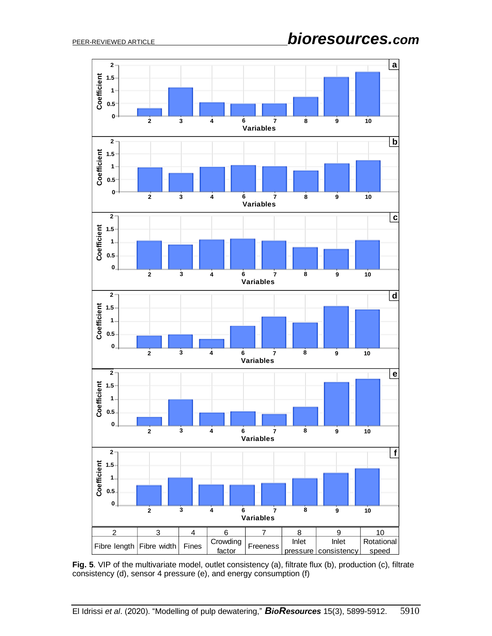

**Fig. 5**. VIP of the multivariate model, outlet consistency (a), filtrate flux (b), production (c), filtrate consistency (d), sensor 4 pressure (e), and energy consumption (f)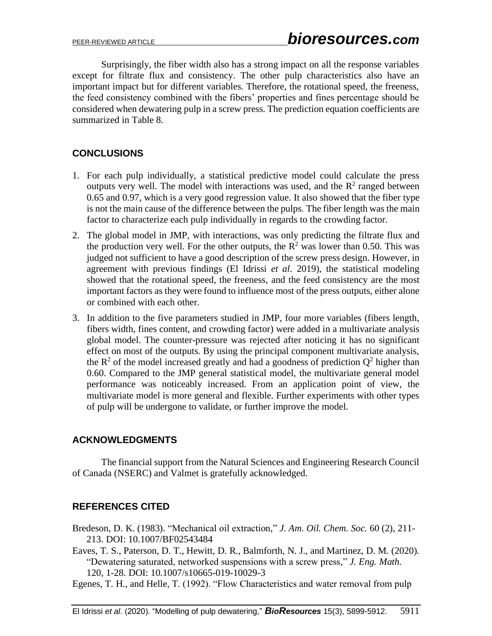Surprisingly, the fiber width also has a strong impact on all the response variables except for filtrate flux and consistency. The other pulp characteristics also have an important impact but for different variables. Therefore, the rotational speed, the freeness, the feed consistency combined with the fibers' properties and fines percentage should be considered when dewatering pulp in a screw press. The prediction equation coefficients are summarized in Table 8.

# **CONCLUSIONS**

- 1. For each pulp individually, a statistical predictive model could calculate the press outputs very well. The model with interactions was used, and the  $R<sup>2</sup>$  ranged between 0.65 and 0.97, which is a very good regression value. It also showed that the fiber type is not the main cause of the difference between the pulps. The fiber length was the main factor to characterize each pulp individually in regards to the crowding factor.
- 2. The global model in JMP, with interactions, was only predicting the filtrate flux and the production very well. For the other outputs, the  $\mathbb{R}^2$  was lower than 0.50. This was judged not sufficient to have a good description of the screw press design. However, in agreement with previous findings (El Idrissi *et al*. 2019), the statistical modeling showed that the rotational speed, the freeness, and the feed consistency are the most important factors as they were found to influence most of the press outputs, either alone or combined with each other.
- 3. In addition to the five parameters studied in JMP, four more variables (fibers length, fibers width, fines content, and crowding factor) were added in a multivariate analysis global model. The counter-pressure was rejected after noticing it has no significant effect on most of the outputs. By using the principal component multivariate analysis, the  $\mathbb{R}^2$  of the model increased greatly and had a goodness of prediction  $\mathbb{Q}^2$  higher than 0.60. Compared to the JMP general statistical model, the multivariate general model performance was noticeably increased. From an application point of view, the multivariate model is more general and flexible. Further experiments with other types of pulp will be undergone to validate, or further improve the model.

## **ACKNOWLEDGMENTS**

The financial support from the Natural Sciences and Engineering Research Council of Canada (NSERC) and Valmet is gratefully acknowledged.

## **REFERENCES CITED**

- Bredeson, D. K. (1983). "Mechanical oil extraction," *J. Am. Oil. Chem. Soc.* 60 (2), 211- 213. DOI: 10.1007/BF02543484
- Eaves, T. S., Paterson, D. T., Hewitt, D. R., Balmforth, N. J., and Martinez, D. M. (2020). "Dewatering saturated, networked suspensions with a screw press," *J. Eng. Math.* 120, 1-28. DOI: 10.1007/s10665-019-10029-3
- Egenes, T. H., and Helle, T. (1992). "Flow Characteristics and water removal from pulp